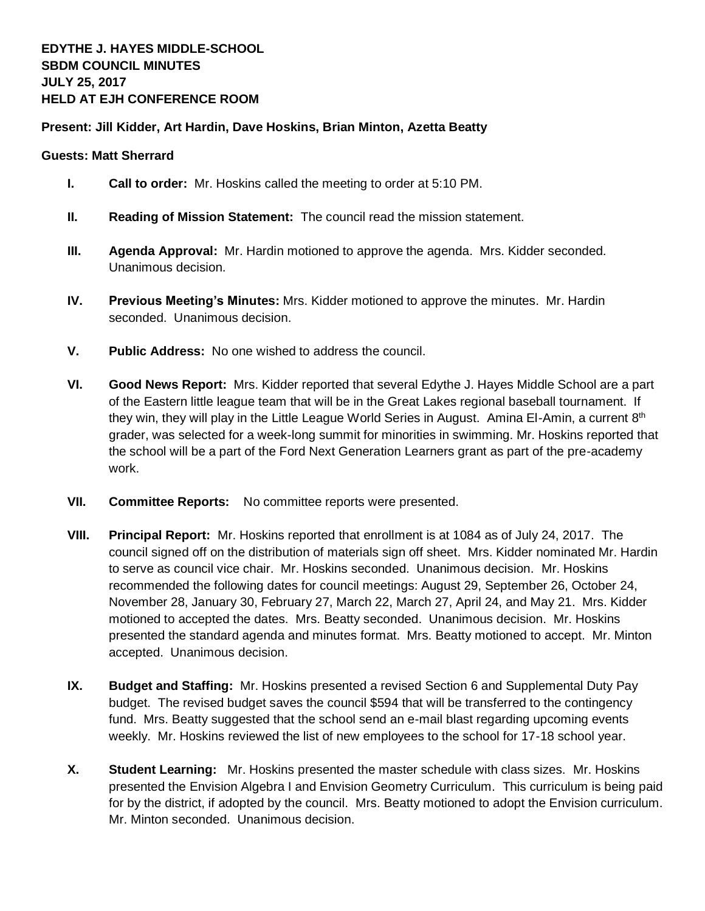## **Present: Jill Kidder, Art Hardin, Dave Hoskins, Brian Minton, Azetta Beatty**

## **Guests: Matt Sherrard**

- **I. Call to order:** Mr. Hoskins called the meeting to order at 5:10 PM.
- **II. Reading of Mission Statement:** The council read the mission statement.
- **III. Agenda Approval:** Mr. Hardin motioned to approve the agenda. Mrs. Kidder seconded. Unanimous decision.
- **IV. Previous Meeting's Minutes:** Mrs. Kidder motioned to approve the minutes. Mr. Hardin seconded. Unanimous decision.
- **V. Public Address:** No one wished to address the council.
- **VI. Good News Report:** Mrs. Kidder reported that several Edythe J. Hayes Middle School are a part of the Eastern little league team that will be in the Great Lakes regional baseball tournament. If they win, they will play in the Little League World Series in August. Amina El-Amin, a current 8<sup>th</sup> grader, was selected for a week-long summit for minorities in swimming. Mr. Hoskins reported that the school will be a part of the Ford Next Generation Learners grant as part of the pre-academy work.
- **VII. Committee Reports:** No committee reports were presented.
- **VIII. Principal Report:** Mr. Hoskins reported that enrollment is at 1084 as of July 24, 2017. The council signed off on the distribution of materials sign off sheet. Mrs. Kidder nominated Mr. Hardin to serve as council vice chair. Mr. Hoskins seconded. Unanimous decision. Mr. Hoskins recommended the following dates for council meetings: August 29, September 26, October 24, November 28, January 30, February 27, March 22, March 27, April 24, and May 21. Mrs. Kidder motioned to accepted the dates. Mrs. Beatty seconded. Unanimous decision. Mr. Hoskins presented the standard agenda and minutes format. Mrs. Beatty motioned to accept. Mr. Minton accepted. Unanimous decision.
- **IX. Budget and Staffing:** Mr. Hoskins presented a revised Section 6 and Supplemental Duty Pay budget. The revised budget saves the council \$594 that will be transferred to the contingency fund. Mrs. Beatty suggested that the school send an e-mail blast regarding upcoming events weekly. Mr. Hoskins reviewed the list of new employees to the school for 17-18 school year.
- **X. Student Learning:** Mr. Hoskins presented the master schedule with class sizes. Mr. Hoskins presented the Envision Algebra I and Envision Geometry Curriculum. This curriculum is being paid for by the district, if adopted by the council. Mrs. Beatty motioned to adopt the Envision curriculum. Mr. Minton seconded. Unanimous decision.